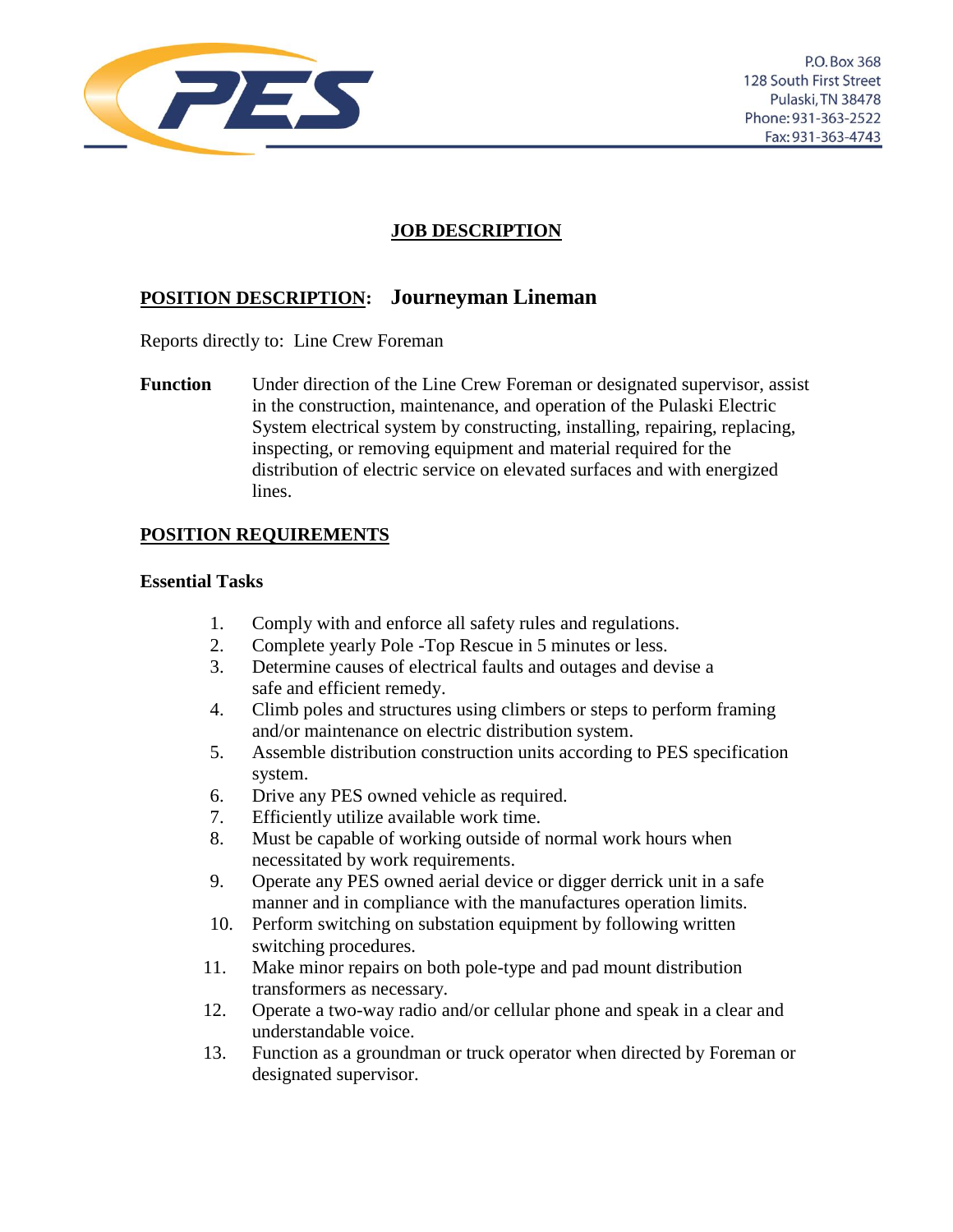

# **JOB DESCRIPTION**

# **POSITION DESCRIPTION: Journeyman Lineman**

Reports directly to: Line Crew Foreman

**Function** Under direction of the Line Crew Foreman or designated supervisor, assist in the construction, maintenance, and operation of the Pulaski Electric System electrical system by constructing, installing, repairing, replacing, inspecting, or removing equipment and material required for the distribution of electric service on elevated surfaces and with energized lines.

## **POSITION REQUIREMENTS**

#### **Essential Tasks**

- 1. Comply with and enforce all safety rules and regulations.
- 2. Complete yearly Pole -Top Rescue in 5 minutes or less.
- 3. Determine causes of electrical faults and outages and devise a safe and efficient remedy.
- 4. Climb poles and structures using climbers or steps to perform framing and/or maintenance on electric distribution system.
- 5. Assemble distribution construction units according to PES specification system.
- 6. Drive any PES owned vehicle as required.
- 7. Efficiently utilize available work time.
- 8. Must be capable of working outside of normal work hours when necessitated by work requirements.
- 9. Operate any PES owned aerial device or digger derrick unit in a safe manner and in compliance with the manufactures operation limits.
- 10. Perform switching on substation equipment by following written switching procedures.
- 11. Make minor repairs on both pole-type and pad mount distribution transformers as necessary.
- 12. Operate a two-way radio and/or cellular phone and speak in a clear and understandable voice.
- 13. Function as a groundman or truck operator when directed by Foreman or designated supervisor.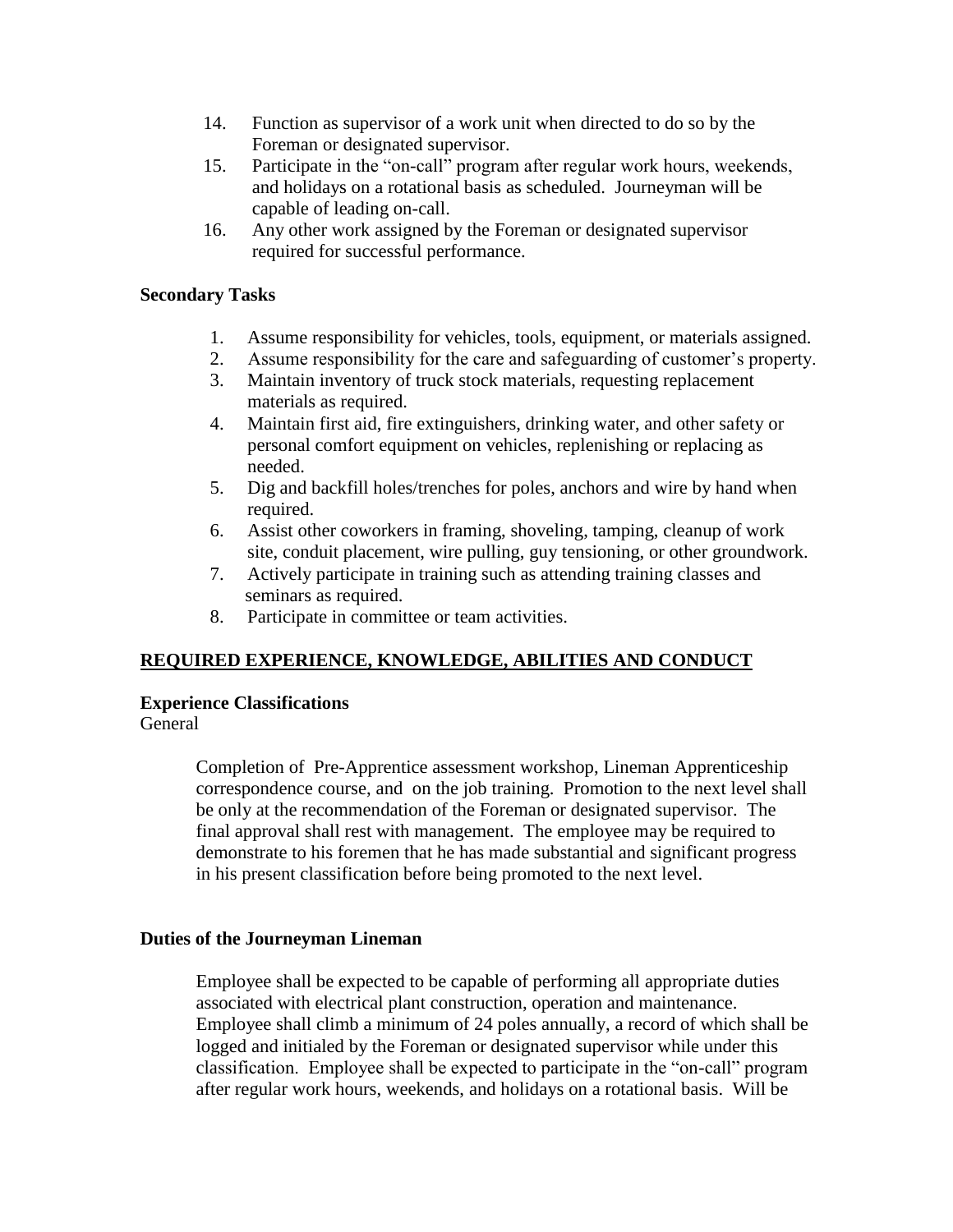- 14. Function as supervisor of a work unit when directed to do so by the Foreman or designated supervisor.
- 15. Participate in the "on-call" program after regular work hours, weekends, and holidays on a rotational basis as scheduled. Journeyman will be capable of leading on-call.
- 16. Any other work assigned by the Foreman or designated supervisor required for successful performance.

#### **Secondary Tasks**

- 1. Assume responsibility for vehicles, tools, equipment, or materials assigned.
- 2. Assume responsibility for the care and safeguarding of customer's property.
- 3. Maintain inventory of truck stock materials, requesting replacement materials as required.
- 4. Maintain first aid, fire extinguishers, drinking water, and other safety or personal comfort equipment on vehicles, replenishing or replacing as needed.
- 5. Dig and backfill holes/trenches for poles, anchors and wire by hand when required.
- 6. Assist other coworkers in framing, shoveling, tamping, cleanup of work site, conduit placement, wire pulling, guy tensioning, or other groundwork.
- 7. Actively participate in training such as attending training classes and seminars as required.
- 8. Participate in committee or team activities.

# **REQUIRED EXPERIENCE, KNOWLEDGE, ABILITIES AND CONDUCT**

#### **Experience Classifications**

General

Completion of Pre-Apprentice assessment workshop, Lineman Apprenticeship correspondence course, and on the job training. Promotion to the next level shall be only at the recommendation of the Foreman or designated supervisor. The final approval shall rest with management. The employee may be required to demonstrate to his foremen that he has made substantial and significant progress in his present classification before being promoted to the next level.

#### **Duties of the Journeyman Lineman**

Employee shall be expected to be capable of performing all appropriate duties associated with electrical plant construction, operation and maintenance. Employee shall climb a minimum of 24 poles annually, a record of which shall be logged and initialed by the Foreman or designated supervisor while under this classification. Employee shall be expected to participate in the "on-call" program after regular work hours, weekends, and holidays on a rotational basis. Will be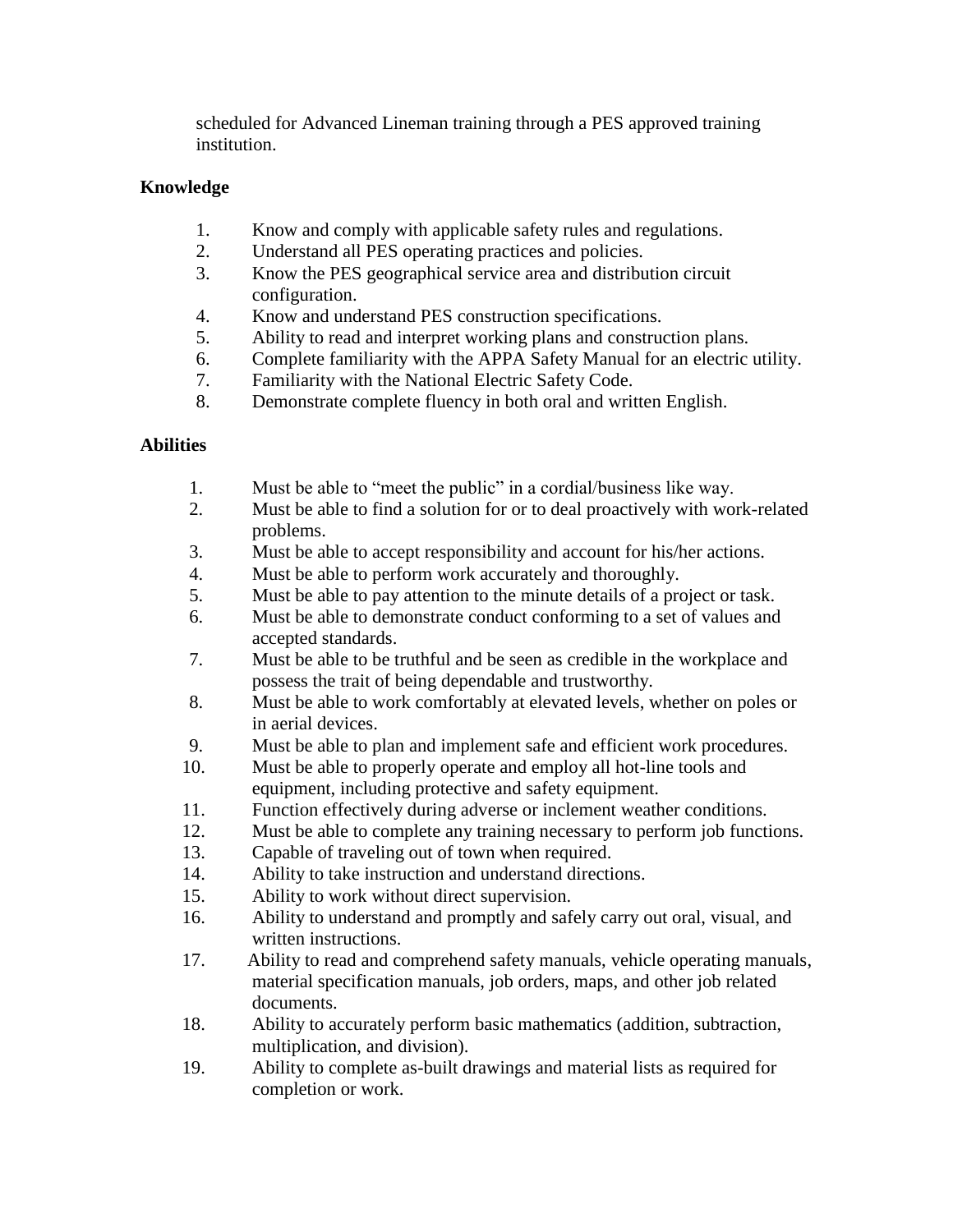scheduled for Advanced Lineman training through a PES approved training institution.

### **Knowledge**

- 1. Know and comply with applicable safety rules and regulations.
- 2. Understand all PES operating practices and policies.
- 3. Know the PES geographical service area and distribution circuit configuration.
- 4. Know and understand PES construction specifications.
- 5. Ability to read and interpret working plans and construction plans.
- 6. Complete familiarity with the APPA Safety Manual for an electric utility.
- 7. Familiarity with the National Electric Safety Code.
- 8. Demonstrate complete fluency in both oral and written English.

## **Abilities**

- 1. Must be able to "meet the public" in a cordial/business like way.
- 2. Must be able to find a solution for or to deal proactively with work-related problems.
- 3. Must be able to accept responsibility and account for his/her actions.
- 4. Must be able to perform work accurately and thoroughly.
- 5. Must be able to pay attention to the minute details of a project or task.
- 6. Must be able to demonstrate conduct conforming to a set of values and accepted standards.
- 7. Must be able to be truthful and be seen as credible in the workplace and possess the trait of being dependable and trustworthy.
- 8. Must be able to work comfortably at elevated levels, whether on poles or in aerial devices.
- 9. Must be able to plan and implement safe and efficient work procedures.
- 10. Must be able to properly operate and employ all hot-line tools and equipment, including protective and safety equipment.
- 11. Function effectively during adverse or inclement weather conditions.
- 12. Must be able to complete any training necessary to perform job functions.
- 13. Capable of traveling out of town when required.
- 14. Ability to take instruction and understand directions.
- 15. Ability to work without direct supervision.
- 16. Ability to understand and promptly and safely carry out oral, visual, and written instructions.
- 17. Ability to read and comprehend safety manuals, vehicle operating manuals, material specification manuals, job orders, maps, and other job related documents.
- 18. Ability to accurately perform basic mathematics (addition, subtraction, multiplication, and division).
- 19. Ability to complete as-built drawings and material lists as required for completion or work.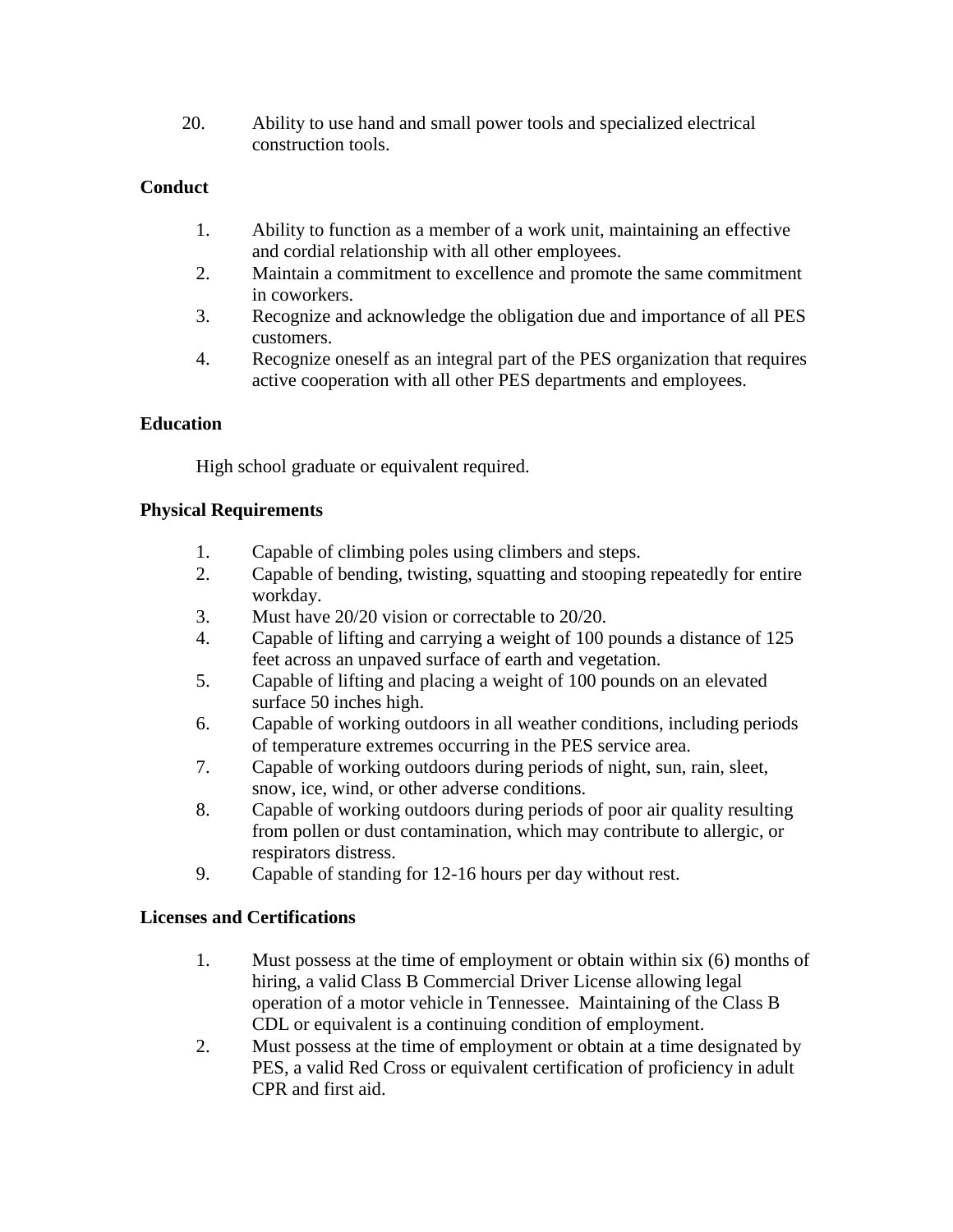20. Ability to use hand and small power tools and specialized electrical construction tools.

### **Conduct**

- 1. Ability to function as a member of a work unit, maintaining an effective and cordial relationship with all other employees.
- 2. Maintain a commitment to excellence and promote the same commitment in coworkers.
- 3. Recognize and acknowledge the obligation due and importance of all PES customers.
- 4. Recognize oneself as an integral part of the PES organization that requires active cooperation with all other PES departments and employees.

## **Education**

High school graduate or equivalent required.

## **Physical Requirements**

- 1. Capable of climbing poles using climbers and steps.
- 2. Capable of bending, twisting, squatting and stooping repeatedly for entire workday.
- 3. Must have 20/20 vision or correctable to 20/20.
- 4. Capable of lifting and carrying a weight of 100 pounds a distance of 125 feet across an unpaved surface of earth and vegetation.
- 5. Capable of lifting and placing a weight of 100 pounds on an elevated surface 50 inches high.
- 6. Capable of working outdoors in all weather conditions, including periods of temperature extremes occurring in the PES service area.
- 7. Capable of working outdoors during periods of night, sun, rain, sleet, snow, ice, wind, or other adverse conditions.
- 8. Capable of working outdoors during periods of poor air quality resulting from pollen or dust contamination, which may contribute to allergic, or respirators distress.
- 9. Capable of standing for 12-16 hours per day without rest.

### **Licenses and Certifications**

- 1. Must possess at the time of employment or obtain within six (6) months of hiring, a valid Class B Commercial Driver License allowing legal operation of a motor vehicle in Tennessee. Maintaining of the Class B CDL or equivalent is a continuing condition of employment.
- 2. Must possess at the time of employment or obtain at a time designated by PES, a valid Red Cross or equivalent certification of proficiency in adult CPR and first aid.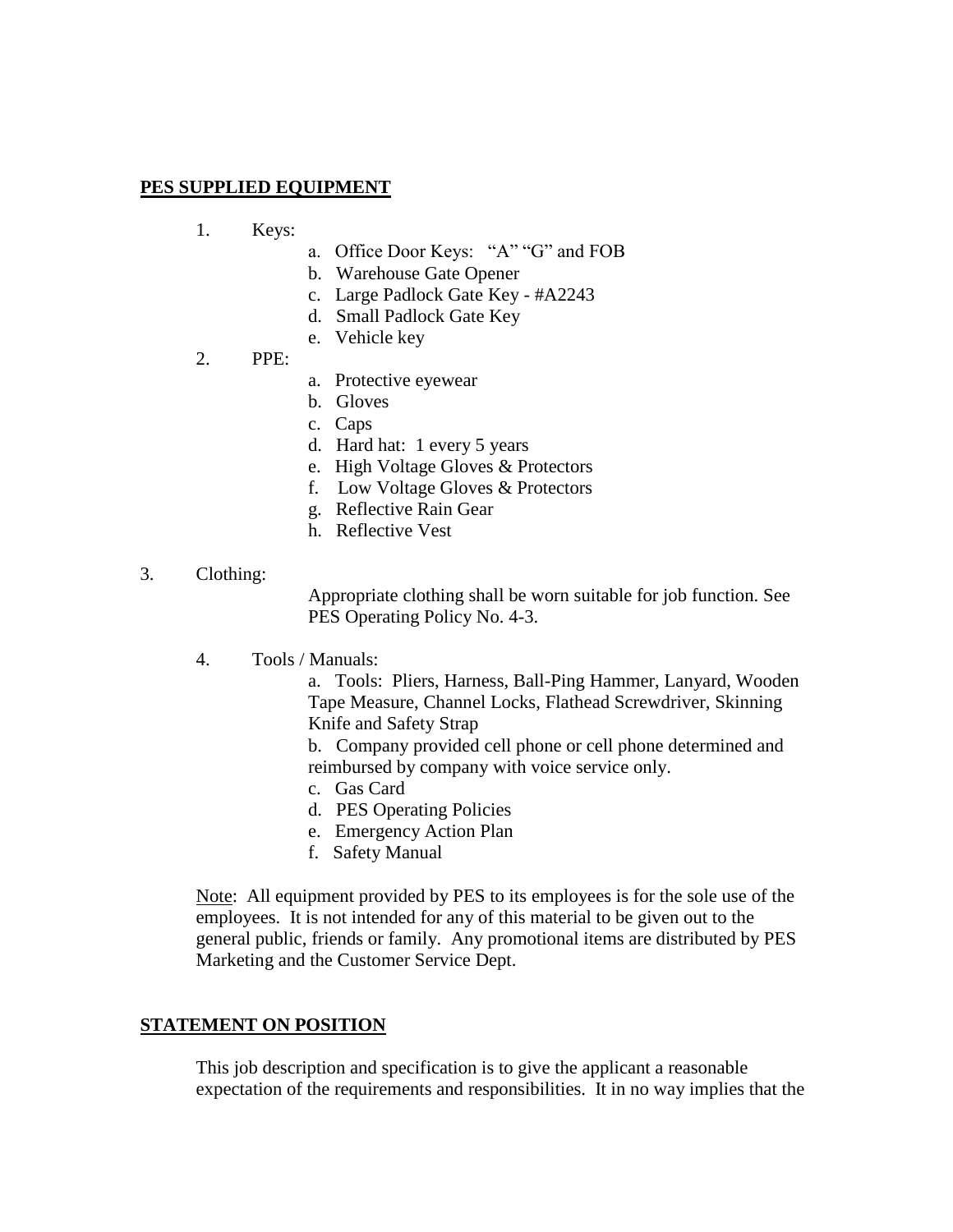#### **PES SUPPLIED EQUIPMENT**

- 1. Keys:
	- a. Office Door Keys: "A" "G" and FOB
	- b. Warehouse Gate Opener
	- c. Large Padlock Gate Key #A2243
	- d. Small Padlock Gate Key
	- e. Vehicle key

#### 2. PPE:

- a. Protective eyewear
- b. Gloves
- c. Caps
- d. Hard hat: 1 every 5 years
- e. High Voltage Gloves & Protectors
- f. Low Voltage Gloves & Protectors
- g. Reflective Rain Gear
- h. Reflective Vest

#### 3. Clothing:

Appropriate clothing shall be worn suitable for job function. See PES Operating Policy No. 4-3.

4. Tools / Manuals:

a. Tools: Pliers, Harness, Ball-Ping Hammer, Lanyard, Wooden Tape Measure, Channel Locks, Flathead Screwdriver, Skinning Knife and Safety Strap

b. Company provided cell phone or cell phone determined and reimbursed by company with voice service only.

- c. Gas Card
- d. PES Operating Policies
- e. Emergency Action Plan
- f. Safety Manual

Note: All equipment provided by PES to its employees is for the sole use of the employees. It is not intended for any of this material to be given out to the general public, friends or family. Any promotional items are distributed by PES Marketing and the Customer Service Dept.

#### **STATEMENT ON POSITION**

This job description and specification is to give the applicant a reasonable expectation of the requirements and responsibilities. It in no way implies that the